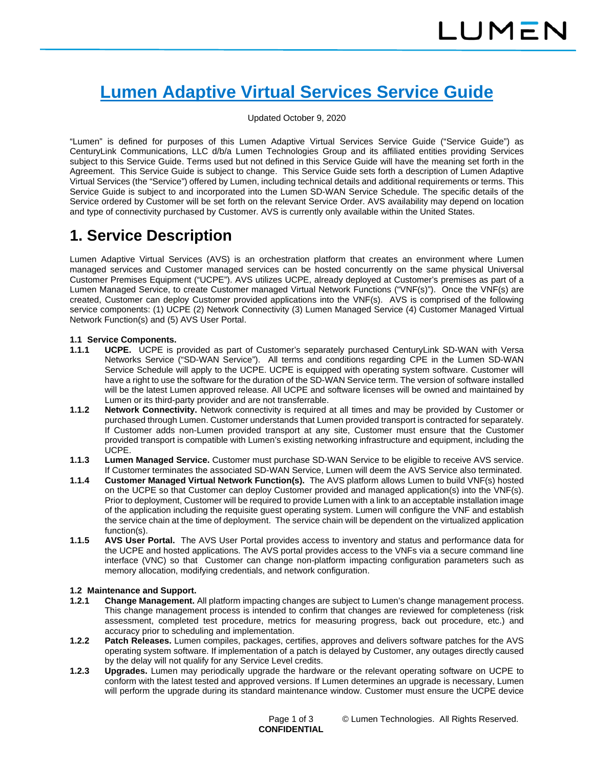# **Lumen Adaptive Virtual Services Service Guide**

### Updated October 9, 2020

"Lumen" is defined for purposes of this Lumen Adaptive Virtual Services Service Guide ("Service Guide") as CenturyLink Communications, LLC d/b/a Lumen Technologies Group and its affiliated entities providing Services subject to this Service Guide. Terms used but not defined in this Service Guide will have the meaning set forth in the Agreement. This Service Guide is subject to change. This Service Guide sets forth a description of Lumen Adaptive Virtual Services (the "Service") offered by Lumen, including technical details and additional requirements or terms. This Service Guide is subject to and incorporated into the Lumen SD-WAN Service Schedule. The specific details of the Service ordered by Customer will be set forth on the relevant Service Order. AVS availability may depend on location and type of connectivity purchased by Customer. AVS is currently only available within the United States.

# **1. Service Description**

Lumen Adaptive Virtual Services (AVS) is an orchestration platform that creates an environment where Lumen managed services and Customer managed services can be hosted concurrently on the same physical Universal Customer Premises Equipment ("UCPE"). AVS utilizes UCPE, already deployed at Customer's premises as part of a Lumen Managed Service, to create Customer managed Virtual Network Functions ("VNF(s)"). Once the VNF(s) are created, Customer can deploy Customer provided applications into the VNF(s). AVS is comprised of the following service components: (1) UCPE (2) Network Connectivity (3) Lumen Managed Service (4) Customer Managed Virtual Network Function(s) and (5) AVS User Portal.

### **1.1 Service Components.**

- **1.1.1 UCPE.** UCPE is provided as part of Customer's separately purchased CenturyLink SD-WAN with Versa Networks Service ("SD-WAN Service"). All terms and conditions regarding CPE in the Lumen SD-WAN Service Schedule will apply to the UCPE. UCPE is equipped with operating system software. Customer will have a right to use the software for the duration of the SD-WAN Service term. The version of software installed will be the latest Lumen approved release. All UCPE and software licenses will be owned and maintained by Lumen or its third-party provider and are not transferrable.
- **1.1.2 Network Connectivity.** Network connectivity is required at all times and may be provided by Customer or purchased through Lumen. Customer understands that Lumen provided transport is contracted for separately. If Customer adds non-Lumen provided transport at any site, Customer must ensure that the Customer provided transport is compatible with Lumen's existing networking infrastructure and equipment, including the UCPE.
- **1.1.3 Lumen Managed Service.** Customer must purchase SD-WAN Service to be eligible to receive AVS service. If Customer terminates the associated SD-WAN Service, Lumen will deem the AVS Service also terminated.
- **1.1.4 Customer Managed Virtual Network Function(s).** The AVS platform allows Lumen to build VNF(s) hosted on the UCPE so that Customer can deploy Customer provided and managed application(s) into the VNF(s). Prior to deployment, Customer will be required to provide Lumen with a link to an acceptable installation image of the application including the requisite guest operating system. Lumen will configure the VNF and establish the service chain at the time of deployment. The service chain will be dependent on the virtualized application function(s).
- **1.1.5 AVS User Portal.** The AVS User Portal provides access to inventory and status and performance data for the UCPE and hosted applications. The AVS portal provides access to the VNFs via a secure command line interface (VNC) so that Customer can change non-platform impacting configuration parameters such as memory allocation, modifying credentials, and network configuration.

# **1.2 Maintenance and Support.**

- **1.2.1 Change Management.** All platform impacting changes are subject to Lumen's change management process. This change management process is intended to confirm that changes are reviewed for completeness (risk assessment, completed test procedure, metrics for measuring progress, back out procedure, etc.) and accuracy prior to scheduling and implementation.
- **1.2.2 Patch Releases.** Lumen compiles, packages, certifies, approves and delivers software patches for the AVS operating system software. If implementation of a patch is delayed by Customer, any outages directly caused by the delay will not qualify for any Service Level credits.
- **1.2.3 Upgrades.** Lumen may periodically upgrade the hardware or the relevant operating software on UCPE to conform with the latest tested and approved versions. If Lumen determines an upgrade is necessary, Lumen will perform the upgrade during its standard maintenance window. Customer must ensure the UCPE device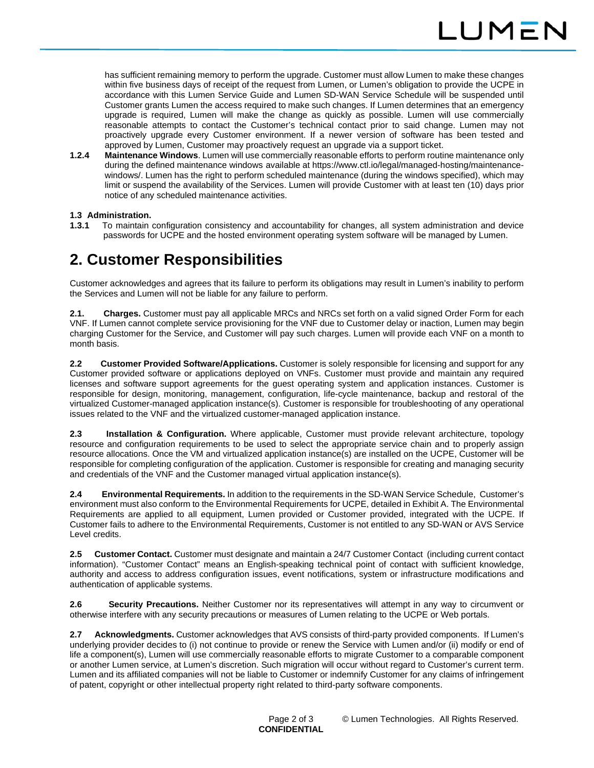has sufficient remaining memory to perform the upgrade. Customer must allow Lumen to make these changes within five business days of receipt of the request from Lumen, or Lumen's obligation to provide the UCPE in accordance with this Lumen Service Guide and Lumen SD-WAN Service Schedule will be suspended until Customer grants Lumen the access required to make such changes. If Lumen determines that an emergency upgrade is required, Lumen will make the change as quickly as possible. Lumen will use commercially reasonable attempts to contact the Customer's technical contact prior to said change. Lumen may not proactively upgrade every Customer environment. If a newer version of software has been tested and approved by Lumen, Customer may proactively request an upgrade via a support ticket.

**1.2.4 Maintenance Windows**. Lumen will use commercially reasonable efforts to perform routine maintenance only during the defined maintenance windows available at https://www.ctl.io/legal/managed-hosting/maintenancewindows/. Lumen has the right to perform scheduled maintenance (during the windows specified), which may limit or suspend the availability of the Services. Lumen will provide Customer with at least ten (10) days prior notice of any scheduled maintenance activities.

# **1.3 Administration.**

**1.3.1** To maintain configuration consistency and accountability for changes, all system administration and device passwords for UCPE and the hosted environment operating system software will be managed by Lumen.

# **2. Customer Responsibilities**

Customer acknowledges and agrees that its failure to perform its obligations may result in Lumen's inability to perform the Services and Lumen will not be liable for any failure to perform.

**2.1. Charges.** Customer must pay all applicable MRCs and NRCs set forth on a valid signed Order Form for each VNF. If Lumen cannot complete service provisioning for the VNF due to Customer delay or inaction, Lumen may begin charging Customer for the Service, and Customer will pay such charges. Lumen will provide each VNF on a month to month basis.

**2.2 Customer Provided Software/Applications.** Customer is solely responsible for licensing and support for any Customer provided software or applications deployed on VNFs. Customer must provide and maintain any required licenses and software support agreements for the guest operating system and application instances. Customer is responsible for design, monitoring, management, configuration, life-cycle maintenance, backup and restoral of the virtualized Customer-managed application instance(s). Customer is responsible for troubleshooting of any operational issues related to the VNF and the virtualized customer-managed application instance.

**2.3 Installation & Configuration.** Where applicable, Customer must provide relevant architecture, topology resource and configuration requirements to be used to select the appropriate service chain and to properly assign resource allocations. Once the VM and virtualized application instance(s) are installed on the UCPE, Customer will be responsible for completing configuration of the application. Customer is responsible for creating and managing security and credentials of the VNF and the Customer managed virtual application instance(s).

**2.4 Environmental Requirements.** In addition to the requirements in the SD-WAN Service Schedule, Customer's environment must also conform to the Environmental Requirements for UCPE, detailed in Exhibit A. The Environmental Requirements are applied to all equipment, Lumen provided or Customer provided, integrated with the UCPE. If Customer fails to adhere to the Environmental Requirements, Customer is not entitled to any SD-WAN or AVS Service Level credits.

**2.5 Customer Contact.** Customer must designate and maintain a 24/7 Customer Contact (including current contact information). "Customer Contact" means an English-speaking technical point of contact with sufficient knowledge, authority and access to address configuration issues, event notifications, system or infrastructure modifications and authentication of applicable systems.

**2.6 Security Precautions.** Neither Customer nor its representatives will attempt in any way to circumvent or otherwise interfere with any security precautions or measures of Lumen relating to the UCPE or Web portals.

**2.7 Acknowledgments.** Customer acknowledges that AVS consists of third-party provided components. If Lumen's underlying provider decides to (i) not continue to provide or renew the Service with Lumen and/or (ii) modify or end of life a component(s), Lumen will use commercially reasonable efforts to migrate Customer to a comparable component or another Lumen service, at Lumen's discretion. Such migration will occur without regard to Customer's current term. Lumen and its affiliated companies will not be liable to Customer or indemnify Customer for any claims of infringement of patent, copyright or other intellectual property right related to third-party software components.